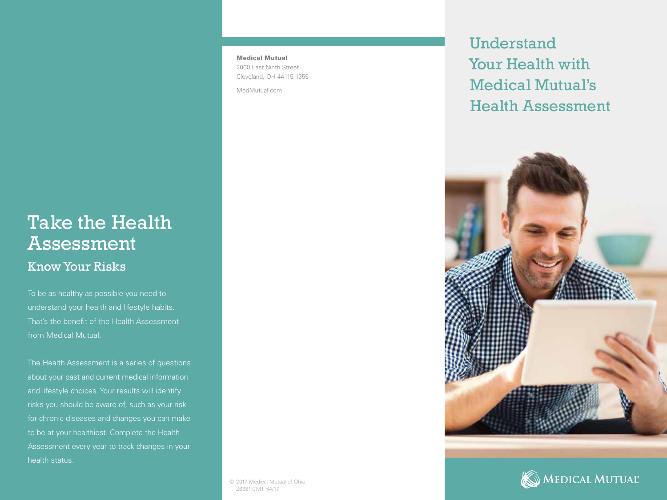## Take the Health Assessment Know Your Risks

To be as healthy as possible you need to understand your health and lifestyle habits. That's the benefit of the Health Assessment from Medical Mutual.

The Health Assessment is a series of questions about your past and current medical information and lifestyle choices. Your results will identify risks you should be aware of, such as your risk for chronic diseases and changes you can make to be at your healthiest. Complete the Health Assessment every year to track changes in your health status.

Medical Mutual 2060 East Ninth Street Cleveland, OH 44115-1355

MedMutual.com

Understand Your Health with Medical Mutual's Health Assessment